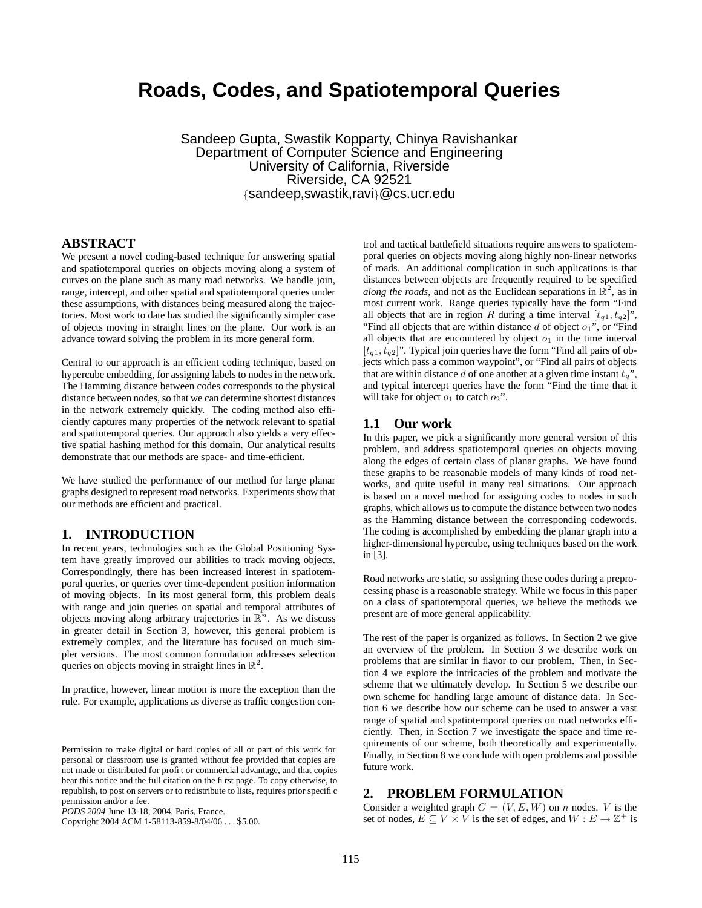# **Roads, Codes, and Spatiotemporal Queries**

Sandeep Gupta, Swastik Kopparty, Chinya Ravishankar Department of Computer Science and Engineering University of California, Riverside Riverside, CA 92521 {sandeep,swastik,ravi}@cs.ucr.edu

# **ABSTRACT**

We present a novel coding-based technique for answering spatial and spatiotemporal queries on objects moving along a system of curves on the plane such as many road networks. We handle join, range, intercept, and other spatial and spatiotemporal queries under these assumptions, with distances being measured along the trajectories. Most work to date has studied the significantly simpler case of objects moving in straight lines on the plane. Our work is an advance toward solving the problem in its more general form.

Central to our approach is an efficient coding technique, based on hypercube embedding, for assigning labels to nodes in the network. The Hamming distance between codes corresponds to the physical distance between nodes, so that we can determine shortest distances in the network extremely quickly. The coding method also efficiently captures many properties of the network relevant to spatial and spatiotemporal queries. Our approach also yields a very effective spatial hashing method for this domain. Our analytical results demonstrate that our methods are space- and time-efficient.

We have studied the performance of our method for large planar graphs designed to represent road networks. Experiments show that our methods are efficient and practical.

#### **1. INTRODUCTION**

In recent years, technologies such as the Global Positioning System have greatly improved our abilities to track moving objects. Correspondingly, there has been increased interest in spatiotemporal queries, or queries over time-dependent position information of moving objects. In its most general form, this problem deals with range and join queries on spatial and temporal attributes of objects moving along arbitrary trajectories in  $\mathbb{R}^n$ . As we discuss in greater detail in Section 3, however, this general problem is extremely complex, and the literature has focused on much simpler versions. The most common formulation addresses selection queries on objects moving in straight lines in  $\mathbb{R}^2$ .

In practice, however, linear motion is more the exception than the rule. For example, applications as diverse as traffic congestion con-

Copyright 2004 ACM 1-58113-859-8/04/06 . . . \$5.00.

trol and tactical battlefield situations require answers to spatiotemporal queries on objects moving along highly non-linear networks of roads. An additional complication in such applications is that distances between objects are frequently required to be specified *along the roads*, and not as the Euclidean separations in  $\mathbb{R}^2$ , as in most current work. Range queries typically have the form "Find all objects that are in region R during a time interval  $[t_{q1}, t_{q2}]$ ", "Find all objects that are within distance  $d$  of object  $o_1$ ", or "Find all objects that are encountered by object  $o_1$  in the time interval  $[t_{q1}, t_{q2}]$ ". Typical join queries have the form "Find all pairs of objects which pass a common waypoint", or "Find all pairs of objects that are within distance d of one another at a given time instant  $t_q$ ", and typical intercept queries have the form "Find the time that it will take for object  $o_1$  to catch  $o_2$ ".

## **1.1 Our work**

In this paper, we pick a significantly more general version of this problem, and address spatiotemporal queries on objects moving along the edges of certain class of planar graphs. We have found these graphs to be reasonable models of many kinds of road networks, and quite useful in many real situations. Our approach is based on a novel method for assigning codes to nodes in such graphs, which allows usto compute the distance between two nodes as the Hamming distance between the corresponding codewords. The coding is accomplished by embedding the planar graph into a higher-dimensional hypercube, using techniques based on the work in [3].

Road networks are static, so assigning these codes during a preprocessing phase is a reasonable strategy. While we focus in this paper on a class of spatiotemporal queries, we believe the methods we present are of more general applicability.

The rest of the paper is organized as follows. In Section 2 we give an overview of the problem. In Section 3 we describe work on problems that are similar in flavor to our problem. Then, in Section 4 we explore the intricacies of the problem and motivate the scheme that we ultimately develop. In Section 5 we describe our own scheme for handling large amount of distance data. In Section 6 we describe how our scheme can be used to answer a vast range of spatial and spatiotemporal queries on road networks efficiently. Then, in Section 7 we investigate the space and time requirements of our scheme, both theoretically and experimentally. Finally, in Section 8 we conclude with open problems and possible future work.

# **2. PROBLEM FORMULATION**

Consider a weighted graph  $G = (V, E, W)$  on n nodes. V is the set of nodes,  $E \subseteq V \times V$  is the set of edges, and  $W : E \to \mathbb{Z}^+$  is

Permission to make digital or hard copies of all or part of this work for personal or classroom use is granted without fee provided that copies are not made or distributed for profit or commercial advantage, and that copies bear this notice and the full citation on the first page. To copy otherwise, to republish, to post on servers or to redistribute to lists, requires prior specific permission and/or a fee.

*PODS 2004* June 13-18, 2004, Paris, France.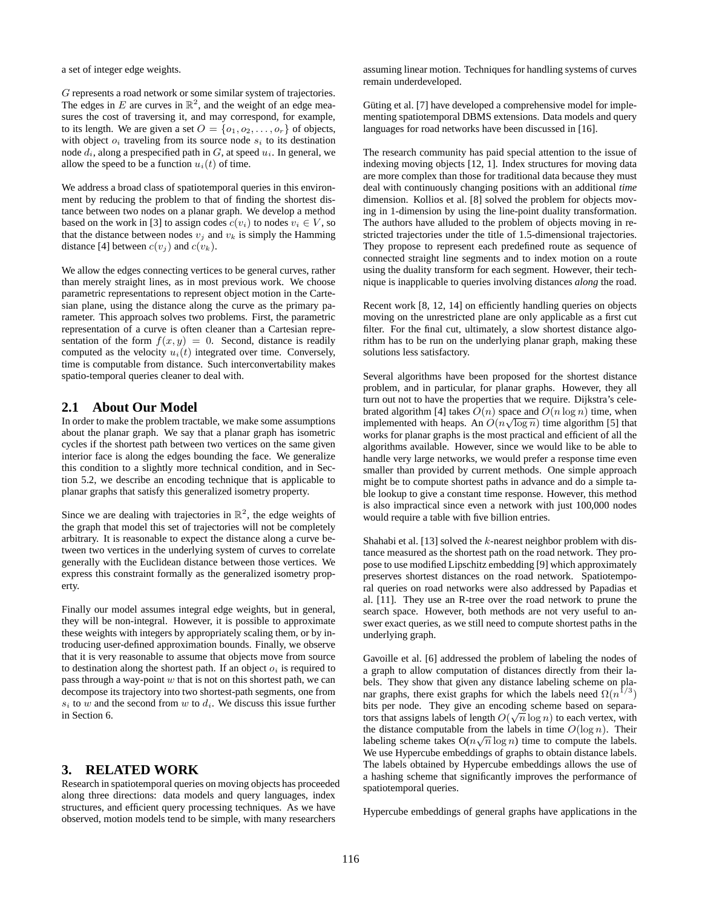a set of integer edge weights.

G represents a road network or some similar system of trajectories. The edges in E are curves in  $\mathbb{R}^2$ , and the weight of an edge measures the cost of traversing it, and may correspond, for example, to its length. We are given a set  $O = \{o_1, o_2, \ldots, o_r\}$  of objects, with object  $o_i$  traveling from its source node  $s_i$  to its destination node  $d_i$ , along a prespecified path in  $G$ , at speed  $u_i$ . In general, we allow the speed to be a function  $u_i(t)$  of time.

We address a broad class of spatiotemporal queries in this environment by reducing the problem to that of finding the shortest distance between two nodes on a planar graph. We develop a method based on the work in [3] to assign codes  $c(v_i)$  to nodes  $v_i \in V$ , so that the distance between nodes  $v_i$  and  $v_k$  is simply the Hamming distance [4] between  $c(v_j)$  and  $c(v_k)$ .

We allow the edges connecting vertices to be general curves, rather than merely straight lines, as in most previous work. We choose parametric representations to represent object motion in the Cartesian plane, using the distance along the curve as the primary parameter. This approach solves two problems. First, the parametric representation of a curve is often cleaner than a Cartesian representation of the form  $f(x, y) = 0$ . Second, distance is readily computed as the velocity  $u_i(t)$  integrated over time. Conversely, time is computable from distance. Such interconvertability makes spatio-temporal queries cleaner to deal with.

# **2.1 About Our Model**

In order to make the problem tractable, we make some assumptions about the planar graph. We say that a planar graph has isometric cycles if the shortest path between two vertices on the same given interior face is along the edges bounding the face. We generalize this condition to a slightly more technical condition, and in Section 5.2, we describe an encoding technique that is applicable to planar graphs that satisfy this generalized isometry property.

Since we are dealing with trajectories in  $\mathbb{R}^2$ , the edge weights of the graph that model this set of trajectories will not be completely arbitrary. It is reasonable to expect the distance along a curve between two vertices in the underlying system of curves to correlate generally with the Euclidean distance between those vertices. We express this constraint formally as the generalized isometry property.

Finally our model assumes integral edge weights, but in general, they will be non-integral. However, it is possible to approximate these weights with integers by appropriately scaling them, or by introducing user-defined approximation bounds. Finally, we observe that it is very reasonable to assume that objects move from source to destination along the shortest path. If an object  $o_i$  is required to pass through a way-point  $w$  that is not on this shortest path, we can decompose its trajectory into two shortest-path segments, one from  $s_i$  to w and the second from w to  $d_i$ . We discuss this issue further in Section 6.

# **3. RELATED WORK**

Research in spatiotemporal queries on moving objects has proceeded along three directions: data models and query languages, index structures, and efficient query processing techniques. As we have observed, motion models tend to be simple, with many researchers

assuming linear motion. Techniques for handling systems of curves remain underdeveloped.

Güting et al. [7] have developed a comprehensive model for implementing spatiotemporal DBMS extensions. Data models and query languages for road networks have been discussed in [16].

The research community has paid special attention to the issue of indexing moving objects [12, 1]. Index structures for moving data are more complex than those for traditional data because they must deal with continuously changing positions with an additional *time* dimension. Kollios et al. [8] solved the problem for objects moving in 1-dimension by using the line-point duality transformation. The authors have alluded to the problem of objects moving in restricted trajectories under the title of 1.5-dimensional trajectories. They propose to represent each predefined route as sequence of connected straight line segments and to index motion on a route using the duality transform for each segment. However, their technique is inapplicable to queries involving distances *along* the road.

Recent work [8, 12, 14] on efficiently handling queries on objects moving on the unrestricted plane are only applicable as a first cut filter. For the final cut, ultimately, a slow shortest distance algorithm has to be run on the underlying planar graph, making these solutions less satisfactory.

Several algorithms have been proposed for the shortest distance problem, and in particular, for planar graphs. However, they all turn out not to have the properties that we require. Dijkstra's celebrated algorithm [4] takes  $O(n)$  space and  $O(n \log n)$  time, when implemented with heaps. An  $O(n\sqrt{\log n})$  time algorithm [5] that works for planar graphs is the most practical and efficient of all the algorithms available. However, since we would like to be able to handle very large networks, we would prefer a response time even smaller than provided by current methods. One simple approach might be to compute shortest paths in advance and do a simple table lookup to give a constant time response. However, this method is also impractical since even a network with just 100,000 nodes would require a table with five billion entries.

Shahabi et al. [13] solved the  $k$ -nearest neighbor problem with distance measured as the shortest path on the road network. They propose to use modified Lipschitz embedding [9] which approximately preserves shortest distances on the road network. Spatiotemporal queries on road networks were also addressed by Papadias et al. [11]. They use an R-tree over the road network to prune the search space. However, both methods are not very useful to answer exact queries, as we still need to compute shortest paths in the underlying graph.

Gavoille et al. [6] addressed the problem of labeling the nodes of a graph to allow computation of distances directly from their labels. They show that given any distance labeling scheme on planar graphs, there exist graphs for which the labels need  $\Omega(n^{1/3})$ bits per node. They give an encoding scheme based on separators that assigns labels of length  $O(\sqrt{n}\log n)$  to each vertex, with the distance computable from the labels in time  $O(\log n)$ . Their labeling scheme takes  $O(n\sqrt{n}\log n)$  time to compute the labels. We use Hypercube embeddings of graphs to obtain distance labels. The labels obtained by Hypercube embeddings allows the use of a hashing scheme that significantly improves the performance of spatiotemporal queries.

Hypercube embeddings of general graphs have applications in the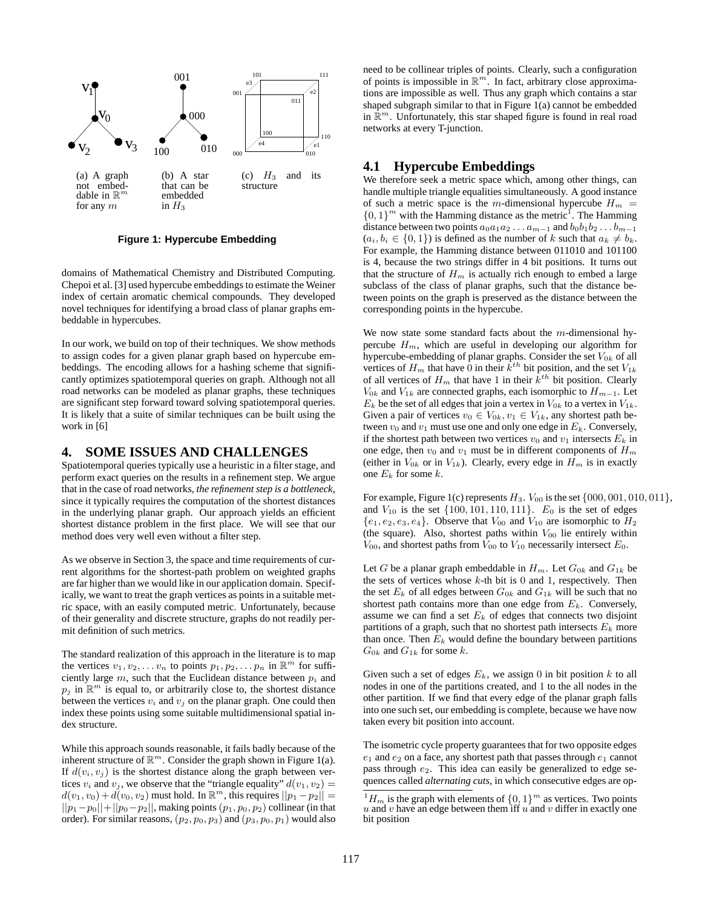

**Figure 1: Hypercube Embedding**

domains of Mathematical Chemistry and Distributed Computing. Chepoi et al. [3] used hypercube embeddings to estimate the Weiner index of certain aromatic chemical compounds. They developed novel techniques for identifying a broad class of planar graphs embeddable in hypercubes.

In our work, we build on top of their techniques. We show methods to assign codes for a given planar graph based on hypercube embeddings. The encoding allows for a hashing scheme that significantly optimizes spatiotemporal queries on graph. Although not all road networks can be modeled as planar graphs, these techniques are significant step forward toward solving spatiotemporal queries. It is likely that a suite of similar techniques can be built using the work in [6]

#### **4. SOME ISSUES AND CHALLENGES**

Spatiotemporal queries typically use a heuristic in a filter stage, and perform exact queries on the results in a refinement step. We argue that in the case of road networks, *the refinement step is a bottleneck*, since it typically requires the computation of the shortest distances in the underlying planar graph. Our approach yields an efficient shortest distance problem in the first place. We will see that our method does very well even without a filter step.

As we observe in Section 3, the space and time requirements of current algorithms for the shortest-path problem on weighted graphs are far higher than we would like in our application domain. Specifically, we want to treat the graph vertices as points in a suitable metric space, with an easily computed metric. Unfortunately, because of their generality and discrete structure, graphs do not readily permit definition of such metrics.

The standard realization of this approach in the literature is to map the vertices  $v_1, v_2, \ldots v_n$  to points  $p_1, p_2, \ldots p_n$  in  $\mathbb{R}^m$  for sufficiently large  $m$ , such that the Euclidean distance between  $p_i$  and  $p_j$  in  $\mathbb{R}^m$  is equal to, or arbitrarily close to, the shortest distance between the vertices  $v_i$  and  $v_j$  on the planar graph. One could then index these points using some suitable multidimensional spatial index structure.

While this approach sounds reasonable, it fails badly because of the inherent structure of  $\mathbb{R}^m$ . Consider the graph shown in Figure 1(a). If  $d(v_i, v_j)$  is the shortest distance along the graph between vertices  $v_i$  and  $v_j$ , we observe that the "triangle equality"  $d(v_1, v_2) =$  $d(v_1, v_0) + d(v_0, v_2)$  must hold. In  $\mathbb{R}^m$ , this requires  $||p_1 - p_2|| =$  $||p_1-p_0||+||p_0-p_2||$ , making points  $(p_1, p_0, p_2)$  collinear (in that order). For similar reasons,  $(p_2, p_0, p_3)$  and  $(p_3, p_0, p_1)$  would also need to be collinear triples of points. Clearly, such a configuration of points is impossible in  $\mathbb{R}^m$ . In fact, arbitrary close approximations are impossible as well. Thus any graph which contains a star shaped subgraph similar to that in Figure 1(a) cannot be embedded in  $\mathbb{R}^m$ . Unfortunately, this star shaped figure is found in real road networks at every T-junction.

# **4.1 Hypercube Embeddings**

We therefore seek a metric space which, among other things, can handle multiple triangle equalities simultaneously. A good instance of such a metric space is the m-dimensional hypercube  $H_m$  =  $\{0, 1\}^m$  with the Hamming distance as the metric<sup>1</sup>. The Hamming distance between two points  $a_0a_1a_2 \ldots a_{m-1}$  and  $b_0b_1b_2 \ldots b_{m-1}$  $(a_i, b_i \in \{0, 1\})$  is defined as the number of k such that  $a_k \neq b_k$ . For example, the Hamming distance between 011010 and 101100 is 4, because the two strings differ in 4 bit positions. It turns out that the structure of  $H_m$  is actually rich enough to embed a large subclass of the class of planar graphs, such that the distance between points on the graph is preserved as the distance between the corresponding points in the hypercube.

We now state some standard facts about the  $m$ -dimensional hypercube  $H_m$ , which are useful in developing our algorithm for hypercube-embedding of planar graphs. Consider the set  $V_{0k}$  of all vertices of  $H_m$  that have 0 in their  $k^{th}$  bit position, and the set  $V_{1k}$ of all vertices of  $H_m$  that have 1 in their  $k^{th}$  bit position. Clearly  $V_{0k}$  and  $V_{1k}$  are connected graphs, each isomorphic to  $H_{m-1}$ . Let  $E_k$  be the set of all edges that join a vertex in  $V_{0k}$  to a vertex in  $V_{1k}$ . Given a pair of vertices  $v_0 \in V_{0k}$ ,  $v_1 \in V_{1k}$ , any shortest path between  $v_0$  and  $v_1$  must use one and only one edge in  $E_k$ . Conversely, if the shortest path between two vertices  $v_0$  and  $v_1$  intersects  $E_k$  in one edge, then  $v_0$  and  $v_1$  must be in different components of  $H_m$ (either in  $V_{0k}$  or in  $V_{1k}$ ). Clearly, every edge in  $H_m$  is in exactly one  $E_k$  for some  $k$ .

For example, Figure 1(c) represents  $H_3$ .  $V_{00}$  is the set  $\{000, 001, 010, 011\}$ , and  $V_{10}$  is the set  $\{100, 101, 110, 111\}$ .  $E_0$  is the set of edges  $\{e_1, e_2, e_3, e_4\}$ . Observe that  $V_{00}$  and  $V_{10}$  are isomorphic to  $H_2$ (the square). Also, shortest paths within  $V_{00}$  lie entirely within  $V_{00}$ , and shortest paths from  $V_{00}$  to  $V_{10}$  necessarily intersect  $E_0$ .

Let G be a planar graph embeddable in  $H_m$ . Let  $G_{0k}$  and  $G_{1k}$  be the sets of vertices whose  $k$ -th bit is 0 and 1, respectively. Then the set  $E_k$  of all edges between  $G_{0k}$  and  $G_{1k}$  will be such that no shortest path contains more than one edge from  $E_k$ . Conversely, assume we can find a set  $E<sub>k</sub>$  of edges that connects two disjoint partitions of a graph, such that no shortest path intersects  $E_k$  more than once. Then  $E_k$  would define the boundary between partitions  $G_{0k}$  and  $G_{1k}$  for some k.

Given such a set of edges  $E_k$ , we assign 0 in bit position k to all nodes in one of the partitions created, and 1 to the all nodes in the other partition. If we find that every edge of the planar graph falls into one such set, our embedding is complete, because we have now taken every bit position into account.

The isometric cycle property guarantees that for two opposite edges  $e_1$  and  $e_2$  on a face, any shortest path that passes through  $e_1$  cannot pass through  $e_2$ . This idea can easily be generalized to edge sequences called *alternating cuts*, in which consecutive edges are op-

 $1_H$  is the graph with elements of  $\{0, 1\}$ <sup>m</sup> as vertices. Two points  $u$  and  $v$  have an edge between them iff  $u$  and  $v$  differ in exactly one bit position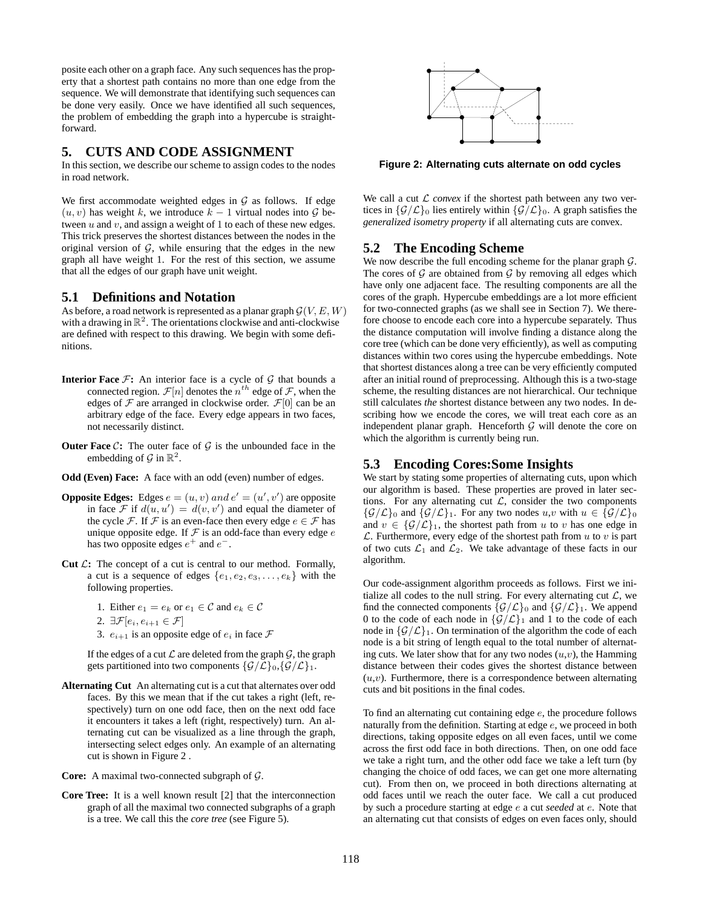posite each other on a graph face. Any such sequences has the property that a shortest path contains no more than one edge from the sequence. We will demonstrate that identifying such sequences can be done very easily. Once we have identified all such sequences, the problem of embedding the graph into a hypercube is straightforward.

# **5. CUTS AND CODE ASSIGNMENT**

In this section, we describe our scheme to assign codes to the nodes in road network.

We first accommodate weighted edges in  $G$  as follows. If edge  $(u, v)$  has weight k, we introduce  $k - 1$  virtual nodes into  $\mathcal G$  between  $u$  and  $v$ , and assign a weight of 1 to each of these new edges. This trick preserves the shortest distances between the nodes in the original version of  $G$ , while ensuring that the edges in the new graph all have weight 1. For the rest of this section, we assume that all the edges of our graph have unit weight.

## **5.1 Definitions and Notation**

As before, a road network is represented as a planar graph  $G(V, E, W)$ with a drawing in  $\mathbb{R}^2$ . The orientations clockwise and anti-clockwise are defined with respect to this drawing. We begin with some definitions.

- **Interior Face**  $\mathcal{F}$ : An interior face is a cycle of  $\mathcal{G}$  that bounds a connected region.  $\mathcal{F}[n]$  denotes the  $n^{th}$  edge of  $\mathcal{F}$ , when the edges of  $\mathcal F$  are arranged in clockwise order.  $\mathcal F[0]$  can be an arbitrary edge of the face. Every edge appears in two faces, not necessarily distinct.
- **Outer Face**  $C$ : The outer face of  $G$  is the unbounded face in the embedding of  $\mathcal G$  in  $\mathbb R^2$ .
- **Odd (Even) Face:** A face with an odd (even) number of edges.
- **Opposite Edges:** Edges  $e = (u, v)$  and  $e' = (u', v')$  are opposite in face  $\mathcal{F}$  if  $d(u, u') = d(v, v')$  and equal the diameter of the cycle F. If F is an even-face then every edge  $e \in \mathcal{F}$  has unique opposite edge. If  $F$  is an odd-face than every edge  $e$ has two opposite edges  $e^+$  and  $e^-$ .
- **Cut**  $\mathcal{L}$ : The concept of a cut is central to our method. Formally, a cut is a sequence of edges  $\{e_1, e_2, e_3, \ldots, e_k\}$  with the following properties.
	- 1. Either  $e_1 = e_k$  or  $e_1 \in \mathcal{C}$  and  $e_k \in \mathcal{C}$
	- 2.  $\exists \mathcal{F}[e_i, e_{i+1} \in \mathcal{F}]$
	- 3.  $e_{i+1}$  is an opposite edge of  $e_i$  in face  $\mathcal F$

If the edges of a cut  $\mathcal L$  are deleted from the graph  $\mathcal G$ , the graph gets partitioned into two components  $\{\mathcal{G}/\mathcal{L}\}_0, \{\mathcal{G}/\mathcal{L}\}_1$ .

- **Alternating Cut** An alternating cut is a cut that alternates over odd faces. By this we mean that if the cut takes a right (left, respectively) turn on one odd face, then on the next odd face it encounters it takes a left (right, respectively) turn. An alternating cut can be visualized as a line through the graph, intersecting select edges only. An example of an alternating cut is shown in Figure 2 .
- **Core:** A maximal two-connected subgraph of G.
- **Core Tree:** It is a well known result [2] that the interconnection graph of all the maximal two connected subgraphs of a graph is a tree. We call this the *core tree* (see Figure 5).



**Figure 2: Alternating cuts alternate on odd cycles**

We call a cut  $\mathcal L$  *convex* if the shortest path between any two vertices in  $\{\mathcal{G}/\mathcal{L}\}_0$  lies entirely within  $\{\mathcal{G}/\mathcal{L}\}_0$ . A graph satisfies the *generalized isometry property* if all alternating cuts are convex.

# **5.2 The Encoding Scheme**

We now describe the full encoding scheme for the planar graph  $G$ . The cores of  $G$  are obtained from  $G$  by removing all edges which have only one adjacent face. The resulting components are all the cores of the graph. Hypercube embeddings are a lot more efficient for two-connected graphs (as we shall see in Section 7). We therefore choose to encode each core into a hypercube separately. Thus the distance computation will involve finding a distance along the core tree (which can be done very efficiently), as well as computing distances within two cores using the hypercube embeddings. Note that shortest distances along a tree can be very efficiently computed after an initial round of preprocessing. Although this is a two-stage scheme, the resulting distances are not hierarchical. Our technique still calculates *the* shortest distance between any two nodes. In describing how we encode the cores, we will treat each core as an independent planar graph. Henceforth  $G$  will denote the core on which the algorithm is currently being run.

## **5.3 Encoding Cores:Some Insights**

We start by stating some properties of alternating cuts, upon which our algorithm is based. These properties are proved in later sections. For any alternating cut  $\mathcal{L}$ , consider the two components  ${\mathcal{G}/\mathcal{L}}_0$  and  ${\mathcal{G}/\mathcal{L}}_1$ . For any two nodes  $u, v$  with  $u \in {\mathcal{G}/\mathcal{L}}_0$ and  $v \in {\mathcal{G}/\mathcal{L}}_1$ , the shortest path from u to v has one edge in  $\mathcal L$ . Furthermore, every edge of the shortest path from  $u$  to  $v$  is part of two cuts  $\mathcal{L}_1$  and  $\mathcal{L}_2$ . We take advantage of these facts in our algorithm.

Our code-assignment algorithm proceeds as follows. First we initialize all codes to the null string. For every alternating cut  $\mathcal{L}$ , we find the connected components  $\{\mathcal{G}/\mathcal{L}\}_0$  and  $\{\mathcal{G}/\mathcal{L}\}_1$ . We append 0 to the code of each node in  $\{G/\mathcal{L}\}_1$  and 1 to the code of each node in  $\{G/\mathcal{L}\}_1$ . On termination of the algorithm the code of each node is a bit string of length equal to the total number of alternating cuts. We later show that for any two nodes  $(u, v)$ , the Hamming distance between their codes gives the shortest distance between  $(u, v)$ . Furthermore, there is a correspondence between alternating cuts and bit positions in the final codes.

To find an alternating cut containing edge e, the procedure follows naturally from the definition. Starting at edge e, we proceed in both directions, taking opposite edges on all even faces, until we come across the first odd face in both directions. Then, on one odd face we take a right turn, and the other odd face we take a left turn (by changing the choice of odd faces, we can get one more alternating cut). From then on, we proceed in both directions alternating at odd faces until we reach the outer face. We call a cut produced by such a procedure starting at edge e a cut *seeded* at e. Note that an alternating cut that consists of edges on even faces only, should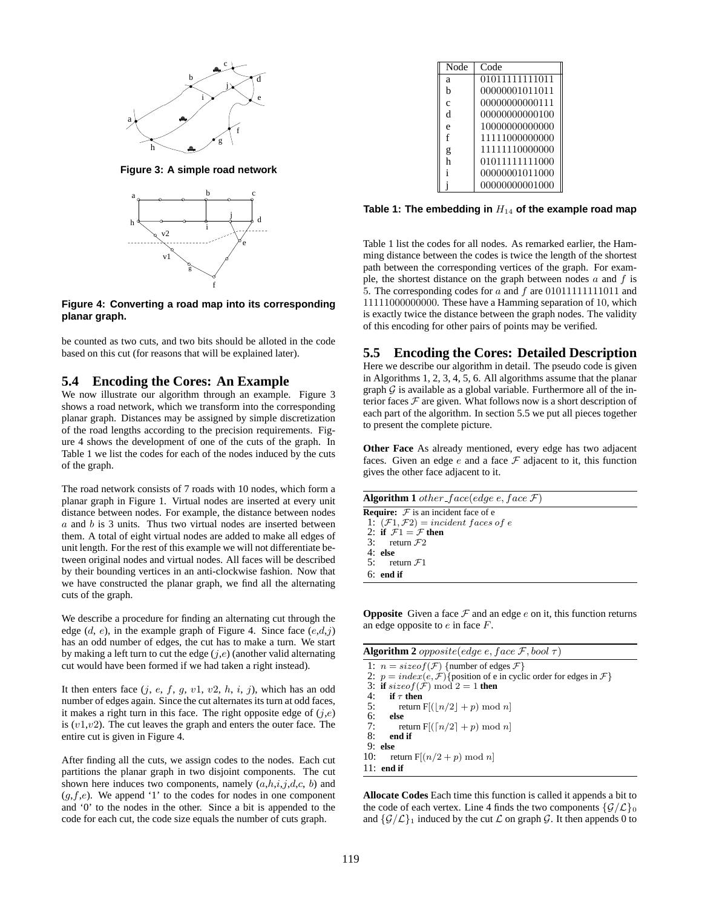

**Figure 3: A simple road network**



**Figure 4: Converting a road map into its corresponding planar graph.**

be counted as two cuts, and two bits should be alloted in the code based on this cut (for reasons that will be explained later).

#### **5.4 Encoding the Cores: An Example**

We now illustrate our algorithm through an example. Figure 3 shows a road network, which we transform into the corresponding planar graph. Distances may be assigned by simple discretization of the road lengths according to the precision requirements. Figure 4 shows the development of one of the cuts of the graph. In Table 1 we list the codes for each of the nodes induced by the cuts of the graph.

The road network consists of 7 roads with 10 nodes, which form a planar graph in Figure 1. Virtual nodes are inserted at every unit distance between nodes. For example, the distance between nodes  $a$  and  $b$  is 3 units. Thus two virtual nodes are inserted between them. A total of eight virtual nodes are added to make all edges of unit length. For the rest of this example we will not differentiate between original nodes and virtual nodes. All faces will be described by their bounding vertices in an anti-clockwise fashion. Now that we have constructed the planar graph, we find all the alternating cuts of the graph.

We describe a procedure for finding an alternating cut through the edge  $(d, e)$ , in the example graph of Figure 4. Since face  $(e,d,j)$ has an odd number of edges, the cut has to make a turn. We start by making a left turn to cut the edge  $(j,e)$  (another valid alternating cut would have been formed if we had taken a right instead).

It then enters face  $(j, e, f, g, v1, v2, h, i, j)$ , which has an odd number of edges again. Since the cut alternates its turn at odd faces, it makes a right turn in this face. The right opposite edge of  $(j,e)$ is  $(v1,v2)$ . The cut leaves the graph and enters the outer face. The entire cut is given in Figure 4.

After finding all the cuts, we assign codes to the nodes. Each cut partitions the planar graph in two disjoint components. The cut shown here induces two components, namely  $(a,h,i,j,d,c, b)$  and  $(g, f, e)$ . We append '1' to the codes for nodes in one component and '0' to the nodes in the other. Since a bit is appended to the code for each cut, the code size equals the number of cuts graph.

| Node          | Code           |
|---------------|----------------|
| a             | 01011111111011 |
| h             | 00000001011011 |
| $\mathcal{C}$ | 00000000000111 |
| d             | 00000000000100 |
| e             | 10000000000000 |
| f             | 11111000000000 |
| g             | 11111110000000 |
| h             | 01011111111000 |
|               | 00000001011000 |
|               | 00000000001000 |

**Table 1: The embedding in** H<sup>14</sup> **of the example road map**

Table 1 list the codes for all nodes. As remarked earlier, the Hamming distance between the codes is twice the length of the shortest path between the corresponding vertices of the graph. For example, the shortest distance on the graph between nodes  $a$  and  $f$  is 5. The corresponding codes for  $a$  and  $f$  are 010111111111011 and 11111000000000. These have a Hamming separation of 10, which is exactly twice the distance between the graph nodes. The validity of this encoding for other pairs of points may be verified.

#### **5.5 Encoding the Cores: Detailed Description**

Here we describe our algorithm in detail. The pseudo code is given in Algorithms 1, 2, 3, 4, 5, 6. All algorithms assume that the planar graph  $G$  is available as a global variable. Furthermore all of the interior faces  $F$  are given. What follows now is a short description of each part of the algorithm. In section 5.5 we put all pieces together to present the complete picture.

**Other Face** As already mentioned, every edge has two adjacent faces. Given an edge  $e$  and a face  $\mathcal F$  adjacent to it, this function gives the other face adjacent to it.

| <b>Algorithm 1</b> other face(edge e, face $\mathcal{F}$ ) |
|------------------------------------------------------------|
| <b>Require:</b> $\mathcal F$ is an incident face of e      |
| 1: $(\mathcal{F}1, \mathcal{F}2) = incident faces of e$    |
| 2: if $\mathcal{F}1 = \mathcal{F}$ then                    |
| 3: return $\mathcal{F}2$                                   |
| $4:$ else                                                  |
| 5: return $\mathcal{F}1$                                   |
| $6:$ end if                                                |
|                                                            |

**Opposite** Given a face  $F$  and an edge  $e$  on it, this function returns an edge opposite to  $e$  in face  $F$ .

| <b>Algorithm 2</b> opposite(edge e, face F, bool $\tau$ )                                  |  |  |  |
|--------------------------------------------------------------------------------------------|--|--|--|
| 1: $n = sizeof(\mathcal{F})$ {number of edges $\mathcal{F}$ }                              |  |  |  |
| 2: $p = index(e, \mathcal{F})$ {position of e in cyclic order for edges in $\mathcal{F}$ } |  |  |  |
| 3: if $sizeof(\mathcal{F}) \mod 2 = 1$ then                                                |  |  |  |
| 4:<br>if $\tau$ then                                                                       |  |  |  |
| 5:<br>return $F[(n/2  + p) \mod n]$                                                        |  |  |  |
| 6:<br>else                                                                                 |  |  |  |
| 7:<br>return $F[(n/2]+p) \mod n]$                                                          |  |  |  |
| 8:<br>end if                                                                               |  |  |  |
| $9:$ else                                                                                  |  |  |  |
| 10:<br>return $F[(n/2+p) \bmod n]$                                                         |  |  |  |
| 11: end if                                                                                 |  |  |  |

**Allocate Codes** Each time this function is called it appends a bit to the code of each vertex. Line 4 finds the two components  $\{\mathcal{G}/\mathcal{L}\}_0$ and  $\{\mathcal{G}/\mathcal{L}\}\$ 1 induced by the cut  $\mathcal{L}$  on graph  $\mathcal{G}$ . It then appends 0 to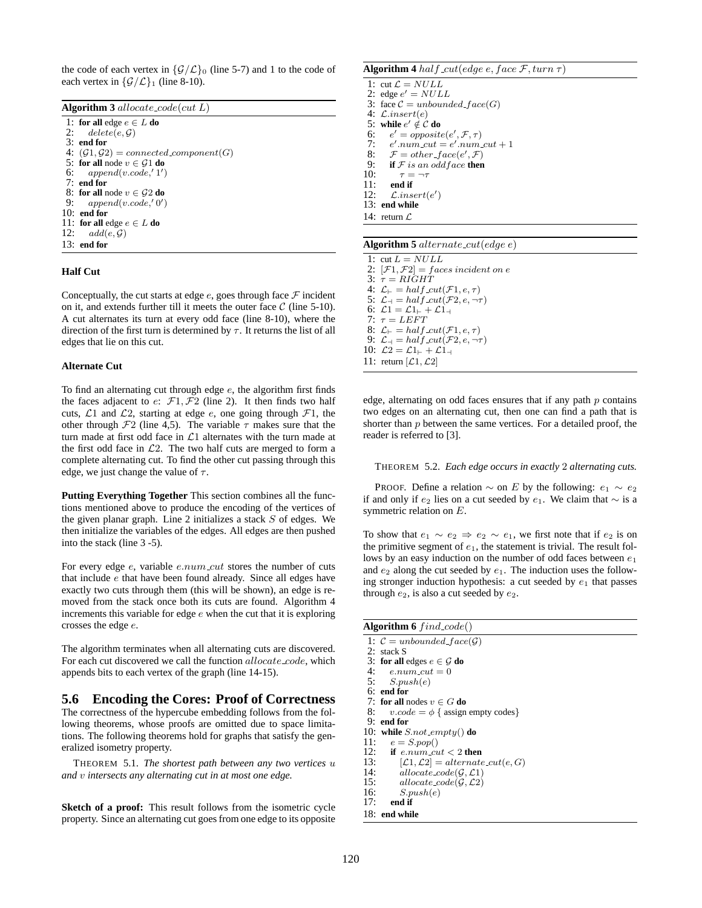the code of each vertex in  $\{\mathcal{G}/\mathcal{L}\}\$  (line 5-7) and 1 to the code of each vertex in  $\{\mathcal{G}/\mathcal{L}\}\$ <sub>1</sub> (line 8-10).

|  | Algorithm 3 allocate_code(cut $L$ ) |  |
|--|-------------------------------------|--|
|--|-------------------------------------|--|

| 1: for all edge $e \in L$ do                                 |
|--------------------------------------------------------------|
| 2: $delete(e, \mathcal{G})$                                  |
| $3:$ end for                                                 |
| 4: $(\mathcal{G}_1, \mathcal{G}_2)$ = connected component(G) |
| 5: for all node $v \in \mathcal{G}1$ do                      |
| 6: $append(v.code, '1')$                                     |
| $7:$ end for                                                 |
| 8: for all node $v \in G2$ do                                |
| 9: $append(v.code, '0')$                                     |
| $10:$ end for                                                |
| 11: for all edge $e \in L$ do                                |
| 12: $add(e, \mathcal{G})$                                    |
| $13:$ end for                                                |

#### **Half Cut**

Conceptually, the cut starts at edge  $e$ , goes through face  $\mathcal F$  incident on it, and extends further till it meets the outer face  $C$  (line 5-10). A cut alternates its turn at every odd face (line 8-10), where the direction of the first turn is determined by  $\tau$ . It returns the list of all edges that lie on this cut.

#### **Alternate Cut**

To find an alternating cut through edge  $e$ , the algorithm first finds the faces adjacent to  $e: \mathcal{F}_1, \mathcal{F}_2$  (line 2). It then finds two half cuts,  $\mathcal{L}1$  and  $\mathcal{L}2$ , starting at edge e, one going through  $\mathcal{F}1$ , the other through  $\mathcal{F}2$  (line 4,5). The variable  $\tau$  makes sure that the turn made at first odd face in  $\mathcal{L}1$  alternates with the turn made at the first odd face in  $\mathcal{L}2$ . The two half cuts are merged to form a complete alternating cut. To find the other cut passing through this edge, we just change the value of  $\tau$ .

**Putting Everything Together** This section combines all the functions mentioned above to produce the encoding of the vertices of the given planar graph. Line 2 initializes a stack  $S$  of edges. We then initialize the variables of the edges. All edges are then pushed into the stack (line 3 -5).

For every edge  $e$ , variable  $e_number$  stores the number of cuts that include e that have been found already. Since all edges have exactly two cuts through them (this will be shown), an edge is removed from the stack once both its cuts are found. Algorithm 4 increments this variable for edge  $e$  when the cut that it is exploring crosses the edge e.

The algorithm terminates when all alternating cuts are discovered. For each cut discovered we call the function allocate\_code, which appends bits to each vertex of the graph (line 14-15).

#### **5.6 Encoding the Cores: Proof of Correctness**

The correctness of the hypercube embedding follows from the following theorems, whose proofs are omitted due to space limitations. The following theorems hold for graphs that satisfy the generalized isometry property.

THEOREM 5.1. *The shortest path between any two vertices* u *and* v *intersects any alternating cut in at most one edge.*

**Sketch of a proof:** This result follows from the isometric cycle property. Since an alternating cut goesfrom one edge to its opposite

#### **Algorithm 4** half cut(edge e, face  $\mathcal{F}$ , turn  $\tau$ )

1: cut  $\mathcal{L} = NULL$ 2: edge  $e' = NULL$ 3: face  $C = unbounded\_face(G)$ <br>4:  $\mathcal{L}.insert(e)$ 4:  $\mathcal{L}.insert(e)$ <br>5: while  $e' \notin \mathcal{C}$ 5: **while**  $e' \notin C$  **do** 6:<br>7: 6:  $e' = opposite(e', \mathcal{F}, \tau)$ <br>7:  $e'.num\_cut = e'.num\_cut + 1$ 8:  $\mathcal{F} = other\ face(e', \mathcal{F})$ 9: **if**  $\mathcal{F}$  is an odd face **then**<br>10:  $\tau = \neg \tau$ 10:  $\tau = \neg \tau$ <br>11: end if 11: **end** if<br>12:  $\int$  *inse* 12:  $\mathcal{L}.insert(e')$ 13: **end while** 14: return  $\mathcal L$ 

#### **Algorithm 5** alternate cut(edge e)

1: cut  $L = NULL$ 2:  $[\mathcal{F}1, \mathcal{F}2] = \text{faces incident on } e$ 3:  $\tau = RIGHT$ 4:  $\mathcal{L}_{\vdash} = half \, cut(\mathcal{F}1, e, \tau)$ 5:  $\mathcal{L}_{\mathcal{A}} = \text{half cut}(\mathcal{F}2, e, \neg \tau)$ 6:  $\mathcal{L}1 = \mathcal{L}1_{+} + \mathcal{L}1_{-}$ <br>7:  $\tau = LEFT$  $\tau = LEFT$ 8:  $\mathcal{L}_{\vdash} = \text{half-cut}(\mathcal{F}_1, e, \tau)$ 9:  $\mathcal{L}_{\dashv} = \text{half cut}(\mathcal{F}2, e, \neg \tau)$ 10:  $\mathcal{L}2 = \mathcal{L}1_{+} + \mathcal{L}1_{-1}$ 11: return  $[\mathcal{L}1, \mathcal{L}2]$ 

edge, alternating on odd faces ensures that if any path  $p$  contains two edges on an alternating cut, then one can find a path that is shorter than  $p$  between the same vertices. For a detailed proof, the reader is referred to [3].

THEOREM 5.2. *Each edge occurs in exactly* 2 *alternating cuts.*

PROOF. Define a relation  $\sim$  on E by the following:  $e_1 \sim e_2$ if and only if  $e_2$  lies on a cut seeded by  $e_1$ . We claim that  $\sim$  is a symmetric relation on E.

To show that  $e_1 \sim e_2 \Rightarrow e_2 \sim e_1$ , we first note that if  $e_2$  is on the primitive segment of  $e_1$ , the statement is trivial. The result follows by an easy induction on the number of odd faces between  $e_1$ and  $e_2$  along the cut seeded by  $e_1$ . The induction uses the following stronger induction hypothesis: a cut seeded by  $e_1$  that passes through  $e_2$ , is also a cut seeded by  $e_2$ .

| Algorithm 6 $find\ code()$                                              |
|-------------------------------------------------------------------------|
| 1: $\mathcal{C} = unbounded\_face(\mathcal{G})$                         |
| 2: stack S                                                              |
| 3: for all edges $e \in \mathcal{G}$ do                                 |
| 4: $e.num\_cut = 0$                                                     |
| 5: $S.push(e)$                                                          |
| $6:$ end for                                                            |
| 7: for all nodes $v \in G$ do                                           |
| 8:<br>$v.code = \phi$ { assign empty codes}                             |
| $9:$ end for                                                            |
| 10: while $S.not$ empty() do                                            |
| 11: $e = S.pop()$                                                       |
| 12: if e.num cut $<$ 2 then                                             |
| 13:<br>$ \mathcal{L}1, \mathcal{L}2  = alternate_{\mathcal{L}}ct(e, G)$ |
| 14:<br>allocate $code(\mathcal{G}, \mathcal{L}1)$                       |
| 15:<br>allocate $code(\mathcal{G}, \mathcal{L}2)$                       |
| 16: $S.push(e)$                                                         |
| $17:$ end if                                                            |
| 18: end while                                                           |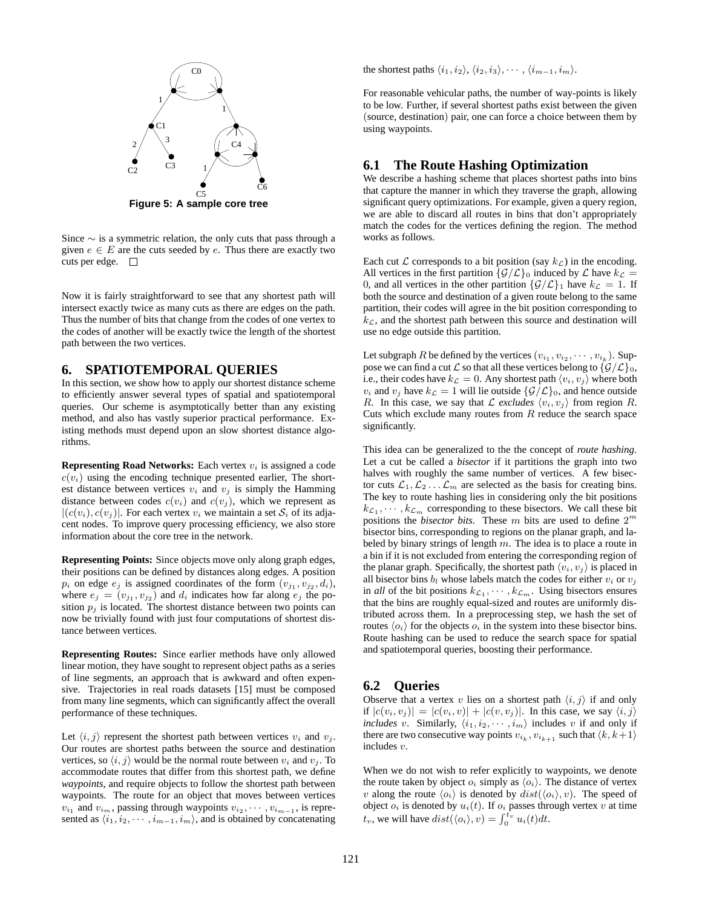

Since ∼ is a symmetric relation, the only cuts that pass through a given  $e \in E$  are the cuts seeded by e. Thus there are exactly two cuts per edge.  $\Box$ 

Now it is fairly straightforward to see that any shortest path will intersect exactly twice as many cuts as there are edges on the path. Thus the number of bits that change from the codes of one vertex to the codes of another will be exactly twice the length of the shortest path between the two vertices.

# **6. SPATIOTEMPORAL QUERIES**

In this section, we show how to apply our shortest distance scheme to efficiently answer several types of spatial and spatiotemporal queries. Our scheme is asymptotically better than any existing method, and also has vastly superior practical performance. Existing methods must depend upon an slow shortest distance algorithms.

**Representing Road Networks:** Each vertex  $v_i$  is assigned a code  $c(v_i)$  using the encoding technique presented earlier, The shortest distance between vertices  $v_i$  and  $v_j$  is simply the Hamming distance between codes  $c(v_i)$  and  $c(v_j)$ , which we represent as  $|(c(v_i), c(v_j)|)$ . For each vertex  $v_i$  we maintain a set  $S_i$  of its adjacent nodes. To improve query processing efficiency, we also store information about the core tree in the network.

**Representing Points:** Since objects move only along graph edges, their positions can be defined by distances along edges. A position  $p_i$  on edge  $e_j$  is assigned coordinates of the form  $(v_{j_1}, v_{j_2}, d_i)$ , where  $e_j = (v_{j_1}, v_{j_2})$  and  $d_i$  indicates how far along  $e_j$  the position  $p_j$  is located. The shortest distance between two points can now be trivially found with just four computations of shortest distance between vertices.

**Representing Routes:** Since earlier methods have only allowed linear motion, they have sought to represent object paths as a series of line segments, an approach that is awkward and often expensive. Trajectories in real roads datasets [15] must be composed from many line segments, which can significantly affect the overall performance of these techniques.

Let  $\langle i, j \rangle$  represent the shortest path between vertices  $v_i$  and  $v_j$ . Our routes are shortest paths between the source and destination vertices, so  $\langle i, j \rangle$  would be the normal route between  $v_i$  and  $v_j$ . To accommodate routes that differ from this shortest path, we define *waypoints*, and require objects to follow the shortest path between waypoints. The route for an object that moves between vertices  $v_{i_1}$  and  $v_{i_m}$ , passing through waypoints  $v_{i_2}, \dots, v_{i_{m-1}}$ , is represented as  $\langle i_1, i_2, \cdots, i_{m-1}, i_m \rangle$ , and is obtained by concatenating the shortest paths  $\langle i_1,i_2\rangle, \langle i_2,i_3\rangle, \cdots, \langle i_{m-1},i_m\rangle.$ 

For reasonable vehicular paths, the number of way-points is likely to be low. Further, if several shortest paths exist between the given (source, destination) pair, one can force a choice between them by using waypoints.

# **6.1 The Route Hashing Optimization**

We describe a hashing scheme that places shortest paths into bins that capture the manner in which they traverse the graph, allowing significant query optimizations. For example, given a query region, we are able to discard all routes in bins that don't appropriately match the codes for the vertices defining the region. The method works as follows.

Each cut  $\mathcal L$  corresponds to a bit position (say  $k_{\mathcal{L}}$ ) in the encoding. All vertices in the first partition  $\{\mathcal{G}/\mathcal{L}\}\$  induced by  $\mathcal L$  have  $k_{\mathcal{L}} =$ 0, and all vertices in the other partition  $\{\mathcal{G}/\mathcal{L}\}_1$  have  $k_{\mathcal{L}} = 1$ . If both the source and destination of a given route belong to the same partition, their codes will agree in the bit position corresponding to  $k_{\mathcal{L}}$ , and the shortest path between this source and destination will use no edge outside this partition.

Let subgraph R be defined by the vertices  $(v_{i_1}, v_{i_2}, \dots, v_{i_k})$ . Suppose we can find a cut  $\mathcal L$  so that all these vertices belong to  $\{\mathcal G/\mathcal L\}_0$ , i.e., their codes have  $k_{\mathcal{L}} = 0$ . Any shortest path  $\langle v_i, v_j \rangle$  where both  $v_i$  and  $v_j$  have  $k_{\mathcal{L}} = 1$  will lie outside  $\{\mathcal{G}/\mathcal{L}\}_0$ , and hence outside R. In this case, we say that L excludes  $\langle v_i, v_j \rangle$  from region R. Cuts which exclude many routes from  $R$  reduce the search space significantly.

This idea can be generalized to the the concept of *route hashing*. Let a cut be called a *bisector* if it partitions the graph into two halves with roughly the same number of vertices. A few bisector cuts  $\mathcal{L}_1, \mathcal{L}_2 \dots \mathcal{L}_m$  are selected as the basis for creating bins. The key to route hashing lies in considering only the bit positions  $k_{\mathcal{L}_1}, \cdots, k_{\mathcal{L}_m}$  corresponding to these bisectors. We call these bit positions the *bisector bits*. These  $m$  bits are used to define  $2^m$ bisector bins, corresponding to regions on the planar graph, and labeled by binary strings of length  $m$ . The idea is to place a route in a bin if it is not excluded from entering the corresponding region of the planar graph. Specifically, the shortest path  $\langle v_i, v_j \rangle$  is placed in all bisector bins  $b_l$  whose labels match the codes for either  $v_i$  or  $v_j$ in *all* of the bit positions  $k_{\mathcal{L}_1}, \cdots, k_{\mathcal{L}_m}$ . Using bisectors ensures that the bins are roughly equal-sized and routes are uniformly distributed across them. In a preprocessing step, we hash the set of routes  $\langle o_i \rangle$  for the objects  $o_i$  in the system into these bisector bins. Route hashing can be used to reduce the search space for spatial and spatiotemporal queries, boosting their performance.

# **6.2 Queries**

Observe that a vertex v lies on a shortest path  $\langle i, j \rangle$  if and only if  $|c(v_i, v_j)| = |c(v_i, v)| + |c(v, v_j)|$ . In this case, we say  $\langle i, j \rangle$ *includes* v. Similarly,  $\langle i_1, i_2, \cdots, i_m \rangle$  includes v if and only if there are two consecutive way points  $v_{i_k}$ ,  $v_{i_{k+1}}$  such that  $\langle k, k+1 \rangle$ includes v.

When we do not wish to refer explicitly to waypoints, we denote the route taken by object  $o_i$  simply as  $\langle o_i \rangle$ . The distance of vertex v along the route  $\langle o_i \rangle$  is denoted by  $dist(\langle o_i \rangle, v)$ . The speed of object  $o_i$  is denoted by  $u_i(t)$ . If  $o_i$  passes through vertex v at time  $t_v$ , we will have  $dist(\langle o_i \rangle, v) = \int_0^{t_v} u_i(t) dt$ .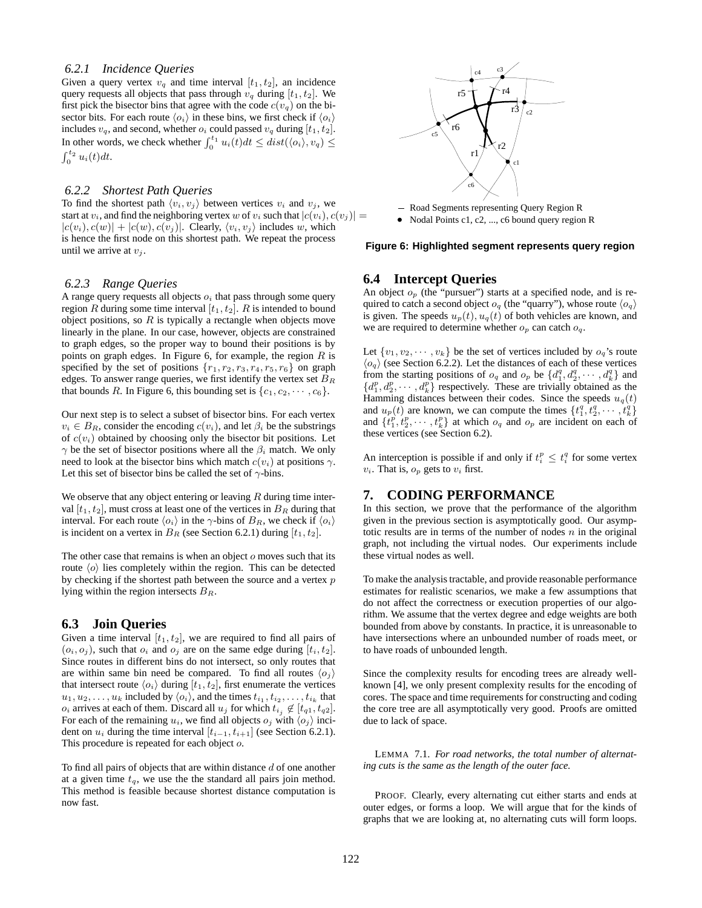#### *6.2.1 Incidence Queries*

Given a query vertex  $v_q$  and time interval  $[t_1, t_2]$ , an incidence query requests all objects that pass through  $v_q$  during  $[t_1, t_2]$ . We first pick the bisector bins that agree with the code  $c(v_q)$  on the bisector bits. For each route  $\langle o_i \rangle$  in these bins, we first check if  $\langle o_i \rangle$ includes  $v_q$ , and second, whether  $o_i$  could passed  $v_q$  during  $[t_1,t_2]$ . In other words, we check whether  $\int_0^{t_1} u_i(t)dt \leq dist(\langle o_i \rangle, v_q) \leq$  $\int_0^{t_2} u_i(t) dt$ .

#### *6.2.2 Shortest Path Queries*

To find the shortest path  $\langle v_i, v_j \rangle$  between vertices  $v_i$  and  $v_j$ , we start at  $v_i$ , and find the neighboring vertex w of  $v_i$  such that  $|c(v_i), c(v_j)| =$  $|c(v_i), c(w)| + |c(w), c(v_i)|$ . Clearly,  $\langle v_i, v_j \rangle$  includes w, which is hence the first node on this shortest path. We repeat the process until we arrive at  $v_i$ .

#### *6.2.3 Range Queries*

A range query requests all objects  $o_i$  that pass through some query region R during some time interval  $[t_1, t_2]$ . R is intended to bound object positions, so  $R$  is typically a rectangle when objects move linearly in the plane. In our case, however, objects are constrained to graph edges, so the proper way to bound their positions is by points on graph edges. In Figure 6, for example, the region  $R$  is specified by the set of positions  $\{r_1, r_2, r_3, r_4, r_5, r_6\}$  on graph edges. To answer range queries, we first identify the vertex set  $B_R$ that bounds R. In Figure 6, this bounding set is  $\{c_1, c_2, \dots, c_6\}$ .

Our next step is to select a subset of bisector bins. For each vertex  $v_i \in B_R$ , consider the encoding  $c(v_i)$ , and let  $\beta_i$  be the substrings of  $c(v_i)$  obtained by choosing only the bisector bit positions. Let  $\gamma$  be the set of bisector positions where all the  $\beta_i$  match. We only need to look at the bisector bins which match  $c(v_i)$  at positions  $\gamma$ . Let this set of bisector bins be called the set of  $\gamma$ -bins.

We observe that any object entering or leaving  $R$  during time interval  $[t_1, t_2]$ , must cross at least one of the vertices in  $B_R$  during that interval. For each route  $\langle o_i \rangle$  in the  $\gamma$ -bins of  $B_R$ , we check if  $\langle o_i \rangle$ is incident on a vertex in  $B_R$  (see Section 6.2.1) during  $[t_1, t_2]$ .

The other case that remains is when an object  $\sigma$  moves such that its route  $\langle o \rangle$  lies completely within the region. This can be detected by checking if the shortest path between the source and a vertex  $p$ lying within the region intersects  $B_R$ .

# **6.3 Join Queries**

Given a time interval  $[t_1, t_2]$ , we are required to find all pairs of  $(o_i, o_j)$ , such that  $o_i$  and  $o_j$  are on the same edge during  $[t_i, t_2]$ . Since routes in different bins do not intersect, so only routes that are within same bin need be compared. To find all routes  $\langle o_j \rangle$ that intersect route  $\langle o_i \rangle$  during  $[t_1, t_2]$ , first enumerate the vertices  $u_1, u_2, \ldots, u_k$  included by  $\langle o_i \rangle$ , and the times  $t_{i_1}, t_{i_2}, \ldots, t_{i_k}$  that  $o_i$  arrives at each of them. Discard all  $u_j$  for which  $t_{i_j} \notin [t_{q1}, t_{q2}]$ . For each of the remaining  $u_i$ , we find all objects  $o_j$  with  $\langle o_j \rangle$  incident on  $u_i$  during the time interval  $[t_{i-1}, t_{i+1}]$  (see Section 6.2.1). This procedure is repeated for each object o.

To find all pairs of objects that are within distance  $d$  of one another at a given time  $t_q$ , we use the the standard all pairs join method. This method is feasible because shortest distance computation is now fast.



• Nodal Points c1, c2, ..., c6 bound query region R

#### **Figure 6: Highlighted segment represents query region**

# **6.4 Intercept Queries**

An object  $o_p$  (the "pursuer") starts at a specified node, and is required to catch a second object  $o_q$  (the "quarry"), whose route  $\langle o_q \rangle$ is given. The speeds  $u_p(t)$ ,  $u_q(t)$  of both vehicles are known, and we are required to determine whether  $o_p$  can catch  $o_q$ .

Let  $\{v_1, v_2, \dots, v_k\}$  be the set of vertices included by  $o_q$ 's route  $\langle o_q \rangle$  (see Section 6.2.2). Let the distances of each of these vertices from the starting positions of  $o_q$  and  $o_p$  be  $\{d_1^q, d_2^q, \cdots, d_k^q\}$  and  $\{d_1^p, d_2^p, \cdots, d_k^p\}$  respectively. These are trivially obtained as the Hamming distances between their codes. Since the speeds  $u_q(t)$ and  $u_p(t)$  are known, we can compute the times  $\{t_1^q, t_2^q, \cdots, t_k^q\}$ and  $\{t_1^p, t_2^p, \cdots, t_k^p\}$  at which  $o_q$  and  $o_p$  are incident on each of these vertices (see Section 6.2).

An interception is possible if and only if  $t_i^p \leq t_i^q$  for some vertex  $v_i$ . That is,  $o_p$  gets to  $v_i$  first.

# **7. CODING PERFORMANCE**

In this section, we prove that the performance of the algorithm given in the previous section is asymptotically good. Our asymptotic results are in terms of the number of nodes  $n$  in the original graph, not including the virtual nodes. Our experiments include these virtual nodes as well.

To make the analysis tractable, and provide reasonable performance estimates for realistic scenarios, we make a few assumptions that do not affect the correctness or execution properties of our algorithm. We assume that the vertex degree and edge weights are both bounded from above by constants. In practice, it is unreasonable to have intersections where an unbounded number of roads meet, or to have roads of unbounded length.

Since the complexity results for encoding trees are already wellknown [4], we only present complexity results for the encoding of cores. The space and time requirements for constructing and coding the core tree are all asymptotically very good. Proofs are omitted due to lack of space.

LEMMA 7.1. *For road networks, the total number of alternating cuts is the same as the length of the outer face.*

PROOF. Clearly, every alternating cut either starts and ends at outer edges, or forms a loop. We will argue that for the kinds of graphs that we are looking at, no alternating cuts will form loops.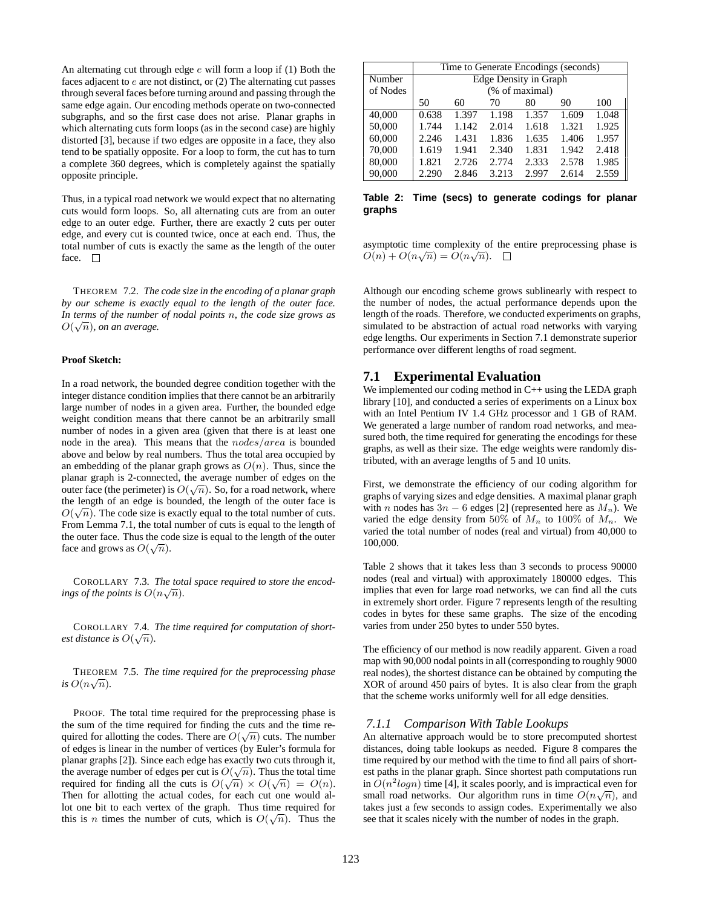An alternating cut through edge  $e$  will form a loop if (1) Both the faces adjacent to  $e$  are not distinct, or  $(2)$  The alternating cut passes through several faces before turning around and passing through the same edge again. Our encoding methods operate on two-connected subgraphs, and so the first case does not arise. Planar graphs in which alternating cuts form loops (as in the second case) are highly distorted [3], because if two edges are opposite in a face, they also tend to be spatially opposite. For a loop to form, the cut has to turn a complete 360 degrees, which is completely against the spatially opposite principle.

Thus, in a typical road network we would expect that no alternating cuts would form loops. So, all alternating cuts are from an outer edge to an outer edge. Further, there are exactly 2 cuts per outer edge, and every cut is counted twice, once at each end. Thus, the total number of cuts is exactly the same as the length of the outer face.  $\Box$ 

THEOREM 7.2. *The code size in the encoding of a planar graph by our scheme is exactly equal to the length of the outer face. In terms of the number of nodal points* n*, the code size grows as*  $O(\sqrt{n})$ , *on an average.* 

#### **Proof Sketch:**

In a road network, the bounded degree condition together with the integer distance condition implies that there cannot be an arbitrarily large number of nodes in a given area. Further, the bounded edge weight condition means that there cannot be an arbitrarily small number of nodes in a given area (given that there is at least one node in the area). This means that the nodes/area is bounded above and below by real numbers. Thus the total area occupied by an embedding of the planar graph grows as  $O(n)$ . Thus, since the planar graph is 2-connected, the average number of edges on the outer face (the perimeter) is  $O(\sqrt{n})$ . So, for a road network, where the length of an edge is bounded, the length of the outer face is  $O(\sqrt{n})$ . The code size is exactly equal to the total number of cuts. From Lemma 7.1, the total number of cuts is equal to the length of the outer face. Thus the code size is equal to the length of the outer face and grows as  $O(\sqrt{n})$ .

COROLLARY 7.3. *The total space required to store the encodings of the points is*  $O(n\sqrt{n})$ *.* 

COROLLARY 7.4. *The time required for computation of shortest distance is*  $O(\sqrt{n})$ *.* 

THEOREM 7.5. *The time required for the preprocessing phase is*  $O(n\sqrt{n})$ .

PROOF. The total time required for the preprocessing phase is the sum of the time required for finding the cuts and the time required for allotting the codes. There are  $O(\sqrt{n})$  cuts. The number of edges is linear in the number of vertices (by Euler's formula for planar graphs [2]). Since each edge has exactly two cuts through it, the average number of edges per cut is  $O(\sqrt{n})$ . Thus the total time required for finding all the cuts is  $O(\sqrt{n}) \times O(\sqrt{n}) = O(n)$ . Then for allotting the actual codes, for each cut one would allot one bit to each vertex of the graph. Thus time required for this is *n* times the number of cuts, which is  $O(\sqrt{n})$ . Thus the

|          | Time to Generate Encodings (seconds) |       |       |       |       |       |  |  |
|----------|--------------------------------------|-------|-------|-------|-------|-------|--|--|
| Number   | Edge Density in Graph                |       |       |       |       |       |  |  |
| of Nodes | (% of maximal)                       |       |       |       |       |       |  |  |
|          | 50                                   | 60    | 70    | 80    | 90    | 100   |  |  |
| 40,000   | 0.638                                | 1.397 | 1.198 | 1.357 | 1.609 | 1.048 |  |  |
| 50,000   | 1.744                                | 1.142 | 2.014 | 1.618 | 1.321 | 1.925 |  |  |
| 60,000   | 2.246                                | 1.431 | 1.836 | 1.635 | 1.406 | 1.957 |  |  |
| 70,000   | 1.619                                | 1.941 | 2.340 | 1.831 | 1.942 | 2.418 |  |  |
| 80,000   | 1.821                                | 2.726 | 2.774 | 2.333 | 2.578 | 1.985 |  |  |
| 90,000   | 2.290                                | 2.846 | 3.213 | 2.997 | 2.614 | 2.559 |  |  |

**Table 2: Time (secs) to generate codings for planar graphs**

asymptotic time complexity of the entire preprocessing phase is  $O(n) + O(n\sqrt{n}) = O(n\sqrt{n}).$ 

Although our encoding scheme grows sublinearly with respect to the number of nodes, the actual performance depends upon the length of the roads. Therefore, we conducted experiments on graphs, simulated to be abstraction of actual road networks with varying edge lengths. Our experiments in Section 7.1 demonstrate superior performance over different lengths of road segment.

## **7.1 Experimental Evaluation**

We implemented our coding method in C++ using the LEDA graph library [10], and conducted a series of experiments on a Linux box with an Intel Pentium IV 1.4 GHz processor and 1 GB of RAM. We generated a large number of random road networks, and measured both, the time required for generating the encodings for these graphs, as well as their size. The edge weights were randomly distributed, with an average lengths of 5 and 10 units.

First, we demonstrate the efficiency of our coding algorithm for graphs of varying sizes and edge densities. A maximal planar graph with n nodes has  $3n - 6$  edges [2] (represented here as  $M_n$ ). We varied the edge density from 50% of  $M_n$  to 100% of  $M_n$ . We varied the total number of nodes (real and virtual) from 40,000 to 100,000.

Table 2 shows that it takes less than 3 seconds to process 90000 nodes (real and virtual) with approximately 180000 edges. This implies that even for large road networks, we can find all the cuts in extremely short order. Figure 7 represents length of the resulting codes in bytes for these same graphs. The size of the encoding varies from under 250 bytes to under 550 bytes.

The efficiency of our method is now readily apparent. Given a road map with 90,000 nodal points in all (corresponding to roughly 9000 real nodes), the shortest distance can be obtained by computing the XOR of around 450 pairs of bytes. It is also clear from the graph that the scheme works uniformly well for all edge densities.

#### *7.1.1 Comparison With Table Lookups*

An alternative approach would be to store precomputed shortest distances, doing table lookups as needed. Figure 8 compares the time required by our method with the time to find all pairs of shortest paths in the planar graph. Since shortest path computations run in  $O(n^2 log n)$  time [4], it scales poorly, and is impractical even for small road networks. Our algorithm runs in time  $O(n\sqrt{n})$ , and takes just a few seconds to assign codes. Experimentally we also see that it scales nicely with the number of nodes in the graph.